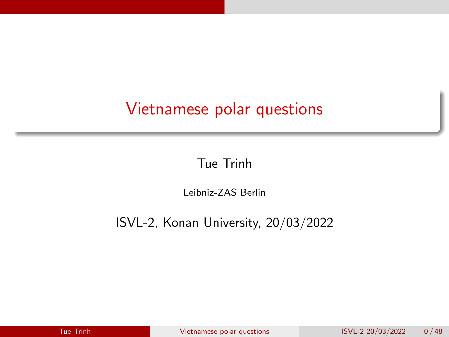# <span id="page-0-0"></span>Vietnamese polar questions

Tue Trinh

Leibniz-ZAS Berlin

ISVL-2, Konan University, 20/03/2022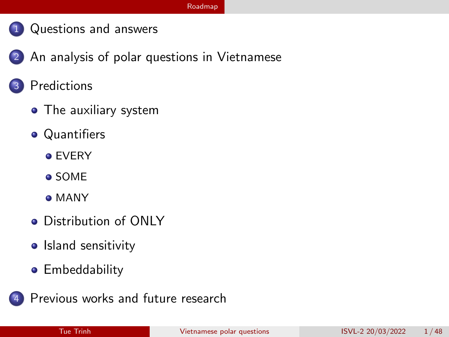#### [Roadmap](#page-1-0)

- <span id="page-1-0"></span>1 [Questions and answers](#page-2-0)
- 2 [An analysis of polar questions in Vietnamese](#page-7-0)
	- **[Predictions](#page-13-0)** 
		- [The auxiliary system](#page-14-0)
		- **•** [Quantifiers](#page-22-0)
			- **o** [EVERY](#page-23-0)
			- [SOME](#page-27-0)
			- [MANY](#page-30-0)
		- **•** [Distribution of ONLY](#page-33-0)
		- [Island sensitivity](#page-37-0)
		- **•** [Embeddability](#page-41-0)
	- [Previous works and future research](#page-46-0)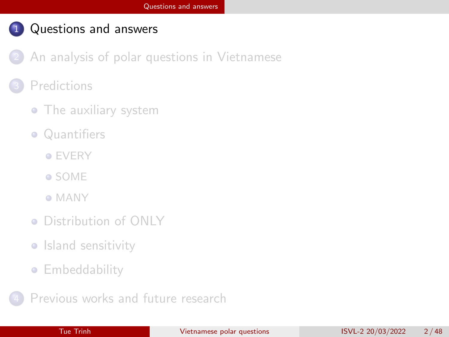- <span id="page-2-0"></span>[An analysis of polar questions in Vietnamese](#page-7-0)
- **[Predictions](#page-13-0)** 
	- [The auxiliary system](#page-14-0)
	- [Quantifiers](#page-22-0)
		- **[EVERY](#page-23-0)**
		- [SOME](#page-27-0)
		- [MANY](#page-30-0)
	- [Distribution of ONLY](#page-33-0)
	- **•** [Island sensitivity](#page-37-0)
	- **[Embeddability](#page-41-0)**
- [Previous works and future research](#page-46-0)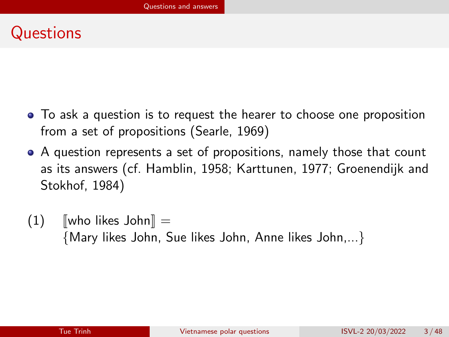## **Questions**

- To ask a question is to request the hearer to choose one proposition from a set of propositions [\(Searle, 1969\)](#page-52-0)
- A question represents a set of propositions, namely those that count as its answers (cf. [Hamblin, 1958;](#page-50-0) [Karttunen, 1977;](#page-51-0) [Groenendijk and](#page-50-1) [Stokhof, 1984\)](#page-50-1)
- $(1)$  [who likes John] = {Mary likes John, Sue likes John, Anne likes John,...}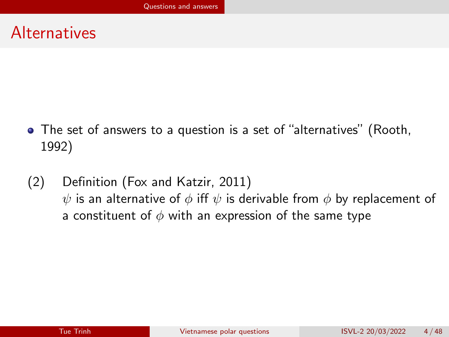### **Alternatives**

- The set of answers to a question is a set of "alternatives" [\(Rooth,](#page-52-1) [1992\)](#page-52-1)
- (2) Definition [\(Fox and Katzir, 2011\)](#page-50-2)  $\psi$  is an alternative of  $\phi$  iff  $\psi$  is derivable from  $\phi$  by replacement of a constituent of  $\phi$  with an expression of the same type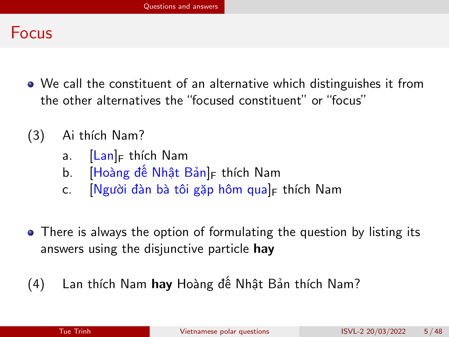### Focus

- We call the constituent of an alternative which distinguishes it from the other alternatives the "focused constituent" or "focus"
- (3) Ai thích Nam?
	- a.  $\left| \text{Lan} \right|_F$  thích Nam
	- b. [Hoàng đế Nhật Bản]<sub>F</sub> thích Nam
	- c. **[Người đàn bà tôi gặp hôm qua]**F thích Nam
- There is always the option of formulating the question by listing its answers using the disjunctive particle hay
- (4) Lan thích Nam hay Hoàng đế Nhật Bản thích Nam?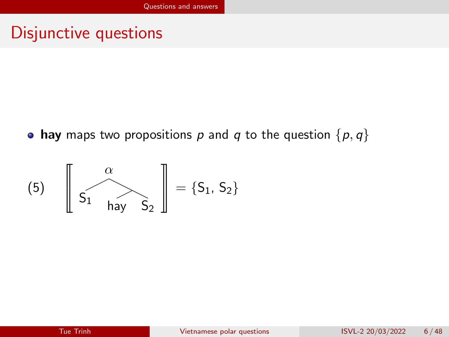### Disjunctive questions

• hay maps two propositions p and q to the question  $\{p, q\}$ 

$$
(5) \quad \left[\begin{array}{c} \alpha \\ S_1 \end{array} \right] \Longrightarrow \left[\begin{array}{c} \alpha \\ S_2 \end{array} \right] = \{S_1, S_2\}
$$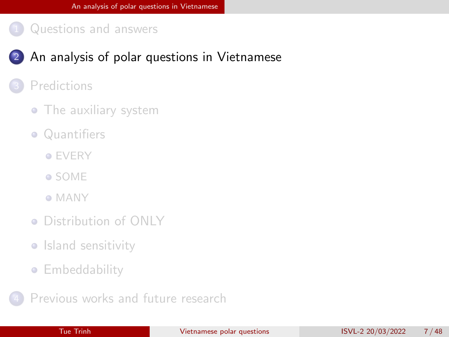### <span id="page-7-0"></span>2 [An analysis of polar questions in Vietnamese](#page-7-0)

#### **[Predictions](#page-13-0)**

- [The auxiliary system](#page-14-0)
- [Quantifiers](#page-22-0)
	- **[EVERY](#page-23-0)**
	- [SOME](#page-27-0)
	- [MANY](#page-30-0)
- [Distribution of ONLY](#page-33-0)
- [Island sensitivity](#page-37-0)
- **[Embeddability](#page-41-0)**
- [Previous works and future research](#page-46-0)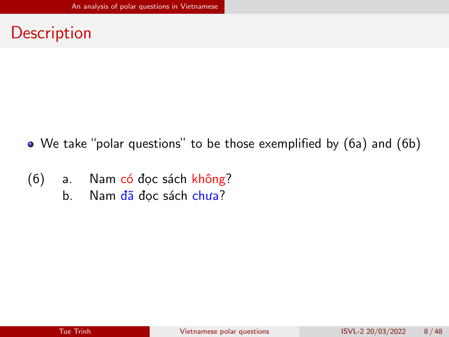### **Description**

- We take "polar questions" to be those exemplified by (6a) and (6b)
- (6) a. Nam có đọc sách không?
	- b. Nam đã đọc sách chưa?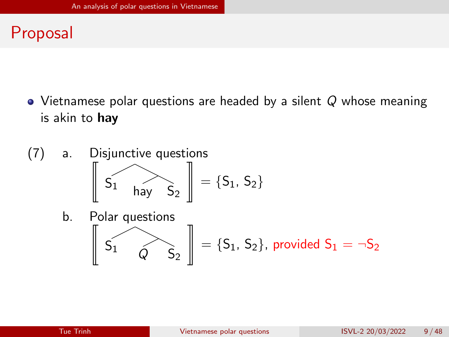# Proposal

- $\bullet$  Vietnamese polar questions are headed by a silent Q whose meaning is akin to hay
- (7) a. Disjunctive questions t  $S_1$  hay  $S_2$ |  $= \{S_1, S_2\}$ b. Polar questions t  $S_1$   $\widehat{Q}$   $S_2$ |  $=\{\mathsf{S}_1,\,\mathsf{S}_2\}$ , provided  $\mathsf{S}_1=\lnot\mathsf{S}_2$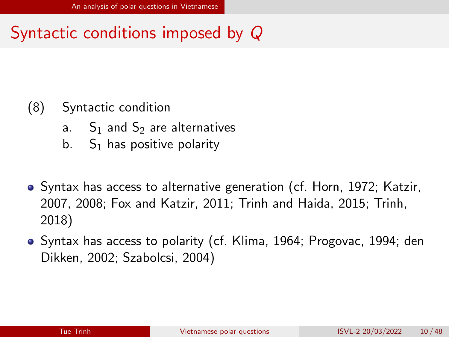# Syntactic conditions imposed by Q

### (8) Syntactic condition

- a.  $S_1$  and  $S_2$  are alternatives
- b.  $S_1$  has positive polarity
- Syntax has access to alternative generation (cf. [Horn, 1972;](#page-50-3) [Katzir,](#page-51-1) [2007,](#page-51-1) [2008;](#page-51-2) [Fox and Katzir, 2011;](#page-50-2) [Trinh and Haida, 2015;](#page-52-2) [Trinh,](#page-52-3) [2018\)](#page-52-3)
- Syntax has access to polarity (cf. [Klima, 1964;](#page-51-3) [Progovac, 1994;](#page-52-4) [den](#page-49-0) [Dikken, 2002;](#page-49-0) [Szabolcsi, 2004\)](#page-52-5)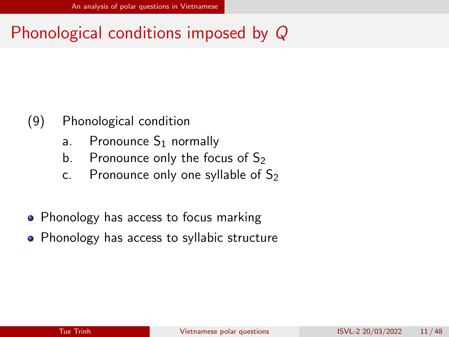# Phonological conditions imposed by Q

- (9) Phonological condition
	- a. Pronounce  $S_1$  normally
	- b. Pronounce only the focus of  $S_2$
	- c. Pronounce only one syllable of  $S_2$
- Phonology has access to focus marking
- Phonology has access to syllabic structure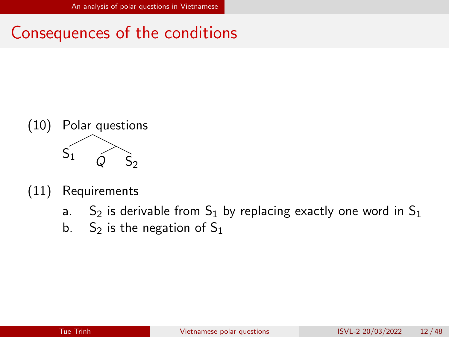# Consequences of the conditions



- (11) Requirements
	- a. S<sub>2</sub> is derivable from S<sub>1</sub> by replacing exactly one word in S<sub>1</sub>
	- b. S<sub>2</sub> is the negation of  $S_1$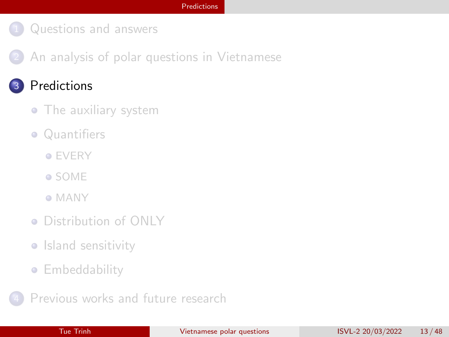<span id="page-13-0"></span>2 [An analysis of polar questions in Vietnamese](#page-7-0)

### **[Predictions](#page-13-0)**

- [The auxiliary system](#page-14-0)
- [Quantifiers](#page-22-0)
	- **[EVERY](#page-23-0)**
	- [SOME](#page-27-0)
	- [MANY](#page-30-0)
- [Distribution of ONLY](#page-33-0)
- [Island sensitivity](#page-37-0)
- **[Embeddability](#page-41-0)**
- [Previous works and future research](#page-46-0)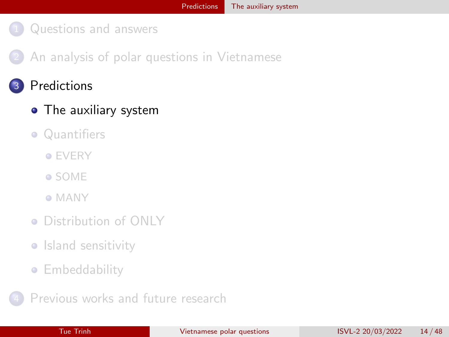<span id="page-14-0"></span>2 [An analysis of polar questions in Vietnamese](#page-7-0)

### **[Predictions](#page-13-0)**

#### • [The auxiliary system](#page-14-0)

- [Quantifiers](#page-22-0)
	- **[EVERY](#page-23-0)**
	- [SOME](#page-27-0)
	- [MANY](#page-30-0)
- [Distribution of ONLY](#page-33-0)
- [Island sensitivity](#page-37-0)
- **[Embeddability](#page-41-0)**
- [Previous works and future research](#page-46-0)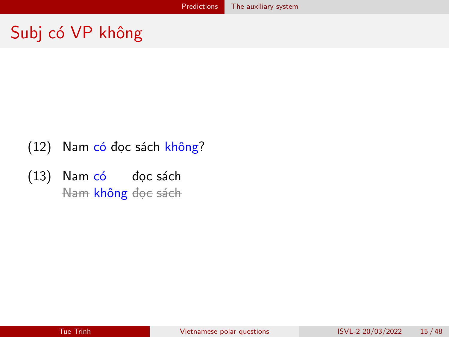# Subj có VP không

- (12) Nam có đọc sách không?
- (13) Nam có đọc sách Nam **không** đọc sách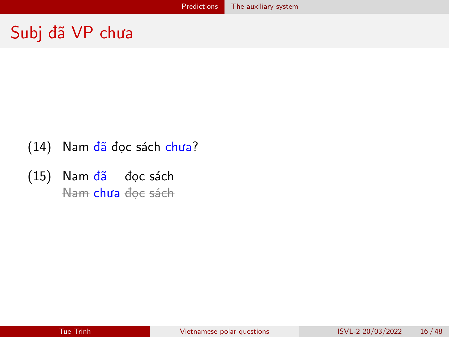# Subj đã VP chưa

- (14) Nam đã đọc sách chưa?
- (15) Nam đã đọc sách <del>Nam</del> **chưa** đọc sách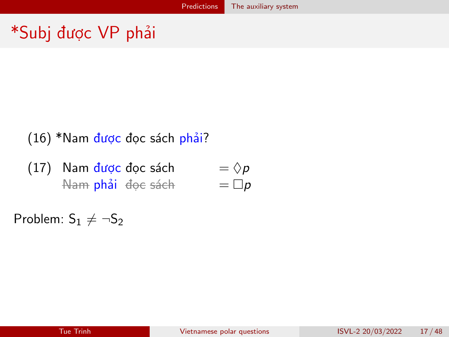# \*Subj được VP phải

### (16) \*Nam được đọc sách phải?

(17) Nam được đọc sách <del>Nam</del> **phải** đọc sách  $=$   $\Diamond p$  $= \Box p$ 

Problem:  $S_1 \neq \neg S_2$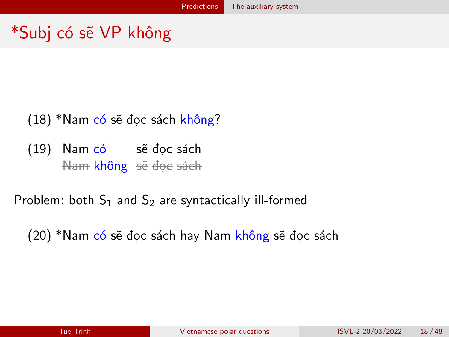# \*Subj có sẽ VP không

### (18) \*Nam có sẽ đọc sách không?

(19) Nam có sẽ đọc sách Nam **không** sẽ đọc sách

Problem: both  $S_1$  and  $S_2$  are syntactically ill-formed

(20) \*Nam có sẽ đọc sách hay Nam không sẽ đọc sách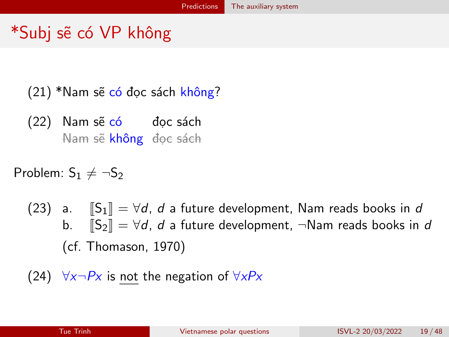# \*Subj sẽ có VP không

 $(21)$  \*Nam sẽ có đọc sách không?

(22) Nam sẽ có đọc sách Nam sẽ <mark>không</mark> đọc sách

Problem:  $S_1 \neq \neg S_2$ 

(23) a.  $\|S_1\| = \forall d$ , d a future development, Nam reads books in d b.  $\|S_2\| = \forall d$ , d a future development,  $\neg$ Nam reads books in d (cf. [Thomason, 1970\)](#page-52-6)

(24) 
$$
\forall x \neg Px
$$
 is not the negation of  $\forall xPx$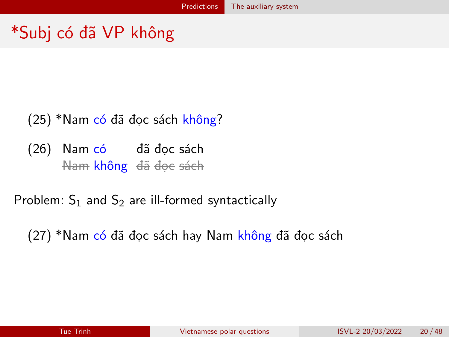# \*Subj có đã VP không

### (25) \*Nam có đã đọc sách không?

(26) Nam có đã đọc sách Nam **không** đã đọc sách

Problem:  $S_1$  and  $S_2$  are ill-formed syntactically

(27) \*Nam có đã đọc sách hay Nam không đã đọc sách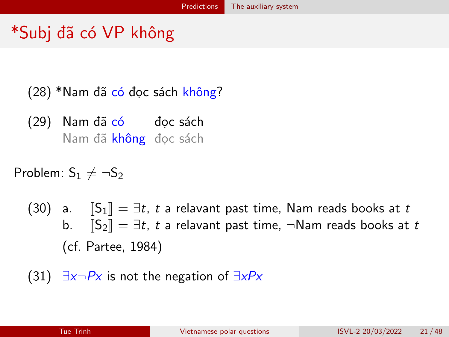# \*Subj đã có VP không

(28) \*Nam đã có đọc sách không?

(29) Nam đã có đọc sách Nam đã <mark>không</mark> đọc sách

Problem:  $S_1 \neq \neg S_2$ 

(30) a.  $\|S_1\| = \exists t, t$  a relavant past time, Nam reads books at t b.  $\|S_2\| = \exists t, t$  a relavant past time,  $\neg$ Nam reads books at t (cf. [Partee, 1984\)](#page-51-4)

(31) 
$$
\exists x \neg Px
$$
 is not the negation of  $\exists xPx$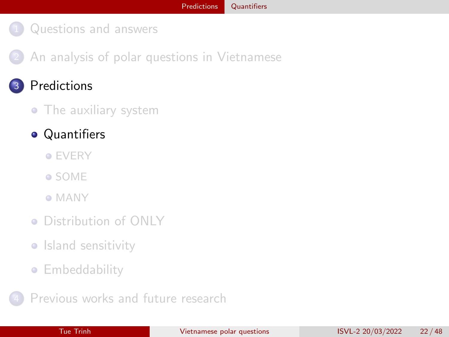<span id="page-22-0"></span>2 [An analysis of polar questions in Vietnamese](#page-7-0)

### **[Predictions](#page-13-0)**

#### • [The auxiliary system](#page-14-0)

### **•** [Quantifiers](#page-22-0)

- **[EVERY](#page-23-0)**
- [SOME](#page-27-0)
- [MANY](#page-30-0)
- [Distribution of ONLY](#page-33-0)
- **•** [Island sensitivity](#page-37-0)
- **[Embeddability](#page-41-0)**
- [Previous works and future research](#page-46-0)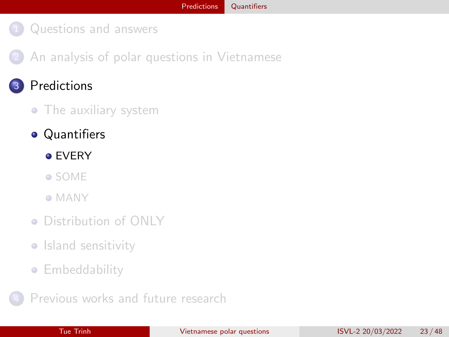<span id="page-23-0"></span>2 [An analysis of polar questions in Vietnamese](#page-7-0)

### **[Predictions](#page-13-0)**

#### • [The auxiliary system](#page-14-0)

### **•** [Quantifiers](#page-22-0)

#### **● [EVERY](#page-23-0)**

- [SOME](#page-27-0)
- [MANY](#page-30-0)
- [Distribution of ONLY](#page-33-0)
- **•** [Island sensitivity](#page-37-0)
- **[Embeddability](#page-41-0)**
- [Previous works and future research](#page-46-0)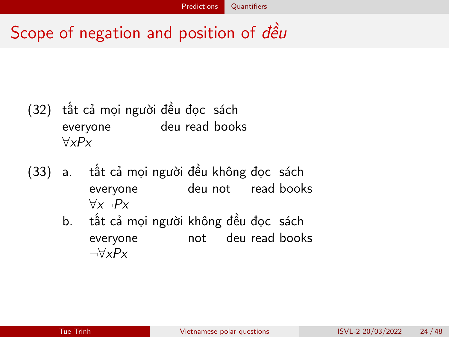# Scope of negation and position of dều

- (32) tất cả mọi người đều đọc sách everyone deu read books ∀xPx
- (33) a. tất cả mọi người đều không đọc sách everyone deu not read books  $\forall x \neg Px$ 
	- b. tất cả mọi người không đều đọc sách everyone not deu read books  $\neg\forall x P x$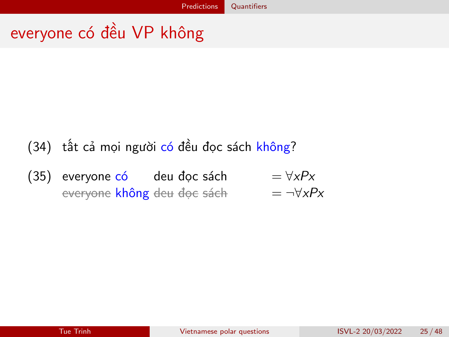# everyone có đều VP không

## (34) tất cả mọi người có đều đọc sách không?

 $(35)$  everyone có deu đọc sách  $= \forall x P x$ everyone **không** deu đọc sách = ¬∀*xP*x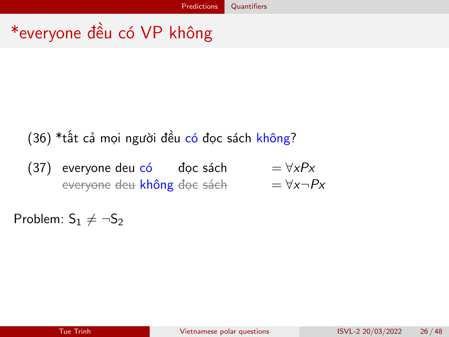# \*everyone đều có VP không

### (36) \*tất cả mọi người đều có đọc sách không?

(37) everyone deu có dọc sách  $= \forall x P x$ everyone deu không đọc sách = ∀x¬Px

Problem:  $S_1 \neq \neg S_2$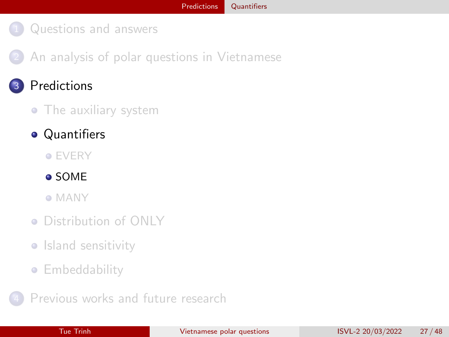<span id="page-27-0"></span>2 [An analysis of polar questions in Vietnamese](#page-7-0)

### **[Predictions](#page-13-0)**

#### • [The auxiliary system](#page-14-0)

### **•** [Quantifiers](#page-22-0)

#### **• [EVERY](#page-23-0)**

[SOME](#page-27-0)

[MANY](#page-30-0)

- [Distribution of ONLY](#page-33-0)
- **•** [Island sensitivity](#page-37-0)
- **[Embeddability](#page-41-0)**

[Previous works and future research](#page-46-0)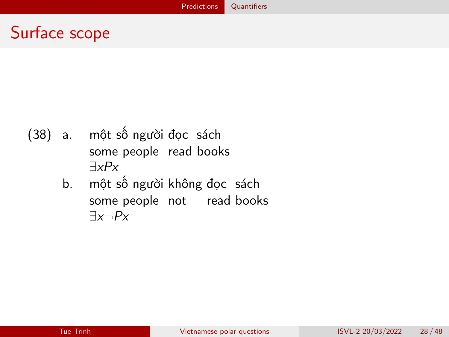# Surface scope

- (38) a. một số người đọc sách some people read books ∃xPx
	- b. một số người không đọc sách some people not read books  $\exists x \neg Px$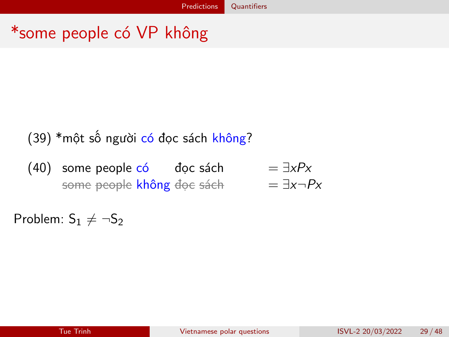# \*some people có VP không

### (39) \*một số người có đọc sách không?

 $(40)$  some people có  $\qquad$  đọc sách $\qquad \qquad =\exists xPx$ some people không đọc sách = ∃x¬Px

Problem:  $S_1 \neq \neg S_2$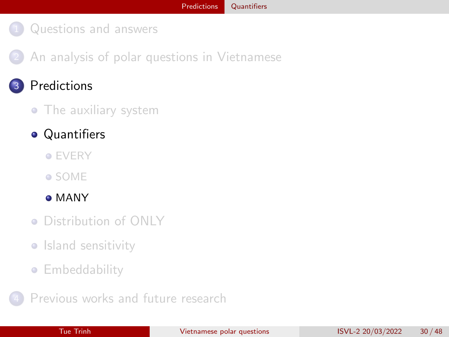<span id="page-30-0"></span>2 [An analysis of polar questions in Vietnamese](#page-7-0)

### **[Predictions](#page-13-0)**

#### • [The auxiliary system](#page-14-0)

### **•** [Quantifiers](#page-22-0)

- **[EVERY](#page-23-0)**
- [SOME](#page-27-0)

#### [MANY](#page-30-0)

- [Distribution of ONLY](#page-33-0)
- **•** [Island sensitivity](#page-37-0)
- **[Embeddability](#page-41-0)**
- [Previous works and future research](#page-46-0)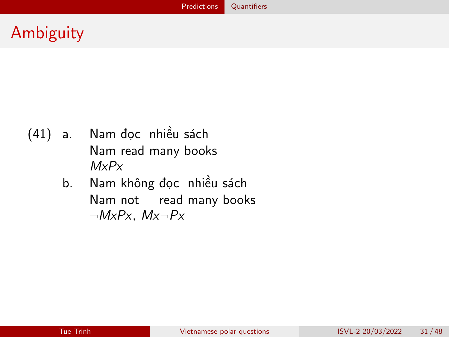# Ambiguity

- (41) a. Nam đọc nhiều sách Nam read many books MxPx
	- b. Nam không đọc nhiều sách Nam not read many books  $\neg MxPx$ ,  $Mx\neg Px$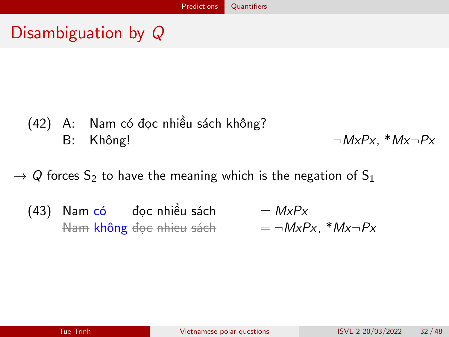# Disambiguation by Q

(42) A: Nam có đọc nhiều sách không? B: Không!  $\neg MxPx$ ,  $*Mx\neg Px$ 

 $\rightarrow$  Q forces S<sub>2</sub> to have the meaning which is the negation of S<sub>1</sub>

(43) Nam có đọc nhiều sách = MxPx Nam không đọc nhieu sách = ¬MxPx, \*Mx¬Px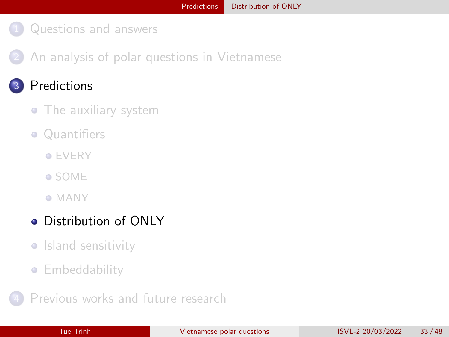<span id="page-33-0"></span>2 [An analysis of polar questions in Vietnamese](#page-7-0)

### **[Predictions](#page-13-0)**

- [The auxiliary system](#page-14-0)
- [Quantifiers](#page-22-0)
	- **[EVERY](#page-23-0)**
	- [SOME](#page-27-0)
	- [MANY](#page-30-0)

### **•** [Distribution of ONLY](#page-33-0)

- **•** [Island sensitivity](#page-37-0)
- **[Embeddability](#page-41-0)**

[Previous works and future research](#page-46-0)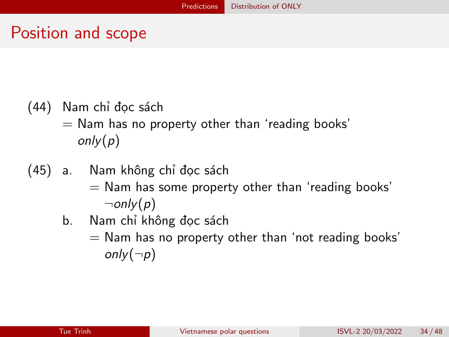### Position and scope

- (44) Nam chỉ đọc sách
	- $=$  Nam has no property other than 'reading books'  $only(p)$
- (45) a. Nam không chỉ đọc sách  $=$  Nam has some property other than 'reading books'  $\lnot$ only(p)
	- b. Nam chỉ không đọc sách
		- $=$  Nam has no property other than 'not reading books'  $only(\neg p)$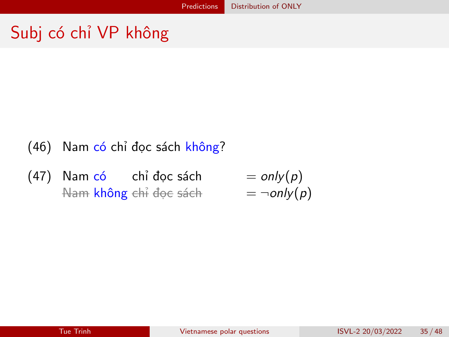# Subj có chỉ VP không

- (46) Nam có chỉ đọc sách không?
- (47) Nam có chỉ đọc sách  $=$  only $(p)$ <del>Nam không chỉ đọc sách  $= \neg only(p)$ </del>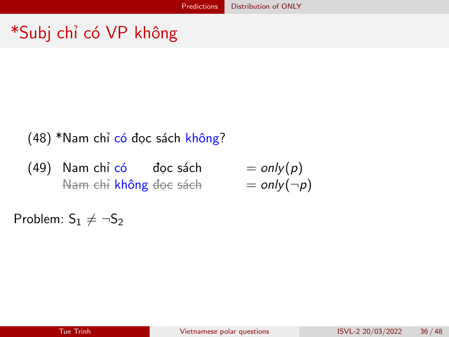# \*Subj chỉ có VP không

| (48) * Nam chỉ có dọc sách không? |                  |             |
|-----------------------------------|------------------|-------------|
| (49) Nam chỉ có                   | dọc sách         | $= only(p)$ |
| Ham ehi không độc sách            | $= only(\neg p)$ |             |

Problem:  $S_1 \neq \neg S_2$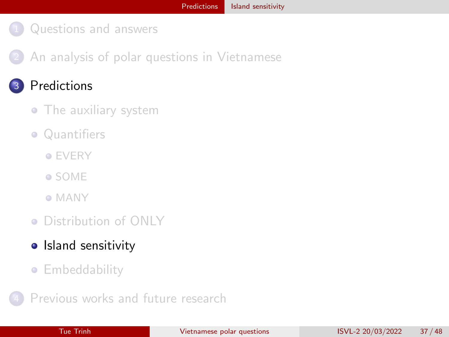<span id="page-37-0"></span>2 [An analysis of polar questions in Vietnamese](#page-7-0)

### **[Predictions](#page-13-0)**

- [The auxiliary system](#page-14-0)
- [Quantifiers](#page-22-0)
	- **[EVERY](#page-23-0)**
	- [SOME](#page-27-0)
	- [MANY](#page-30-0)
- [Distribution of ONLY](#page-33-0)
- [Island sensitivity](#page-37-0)
- **[Embeddability](#page-41-0)**
- [Previous works and future research](#page-46-0)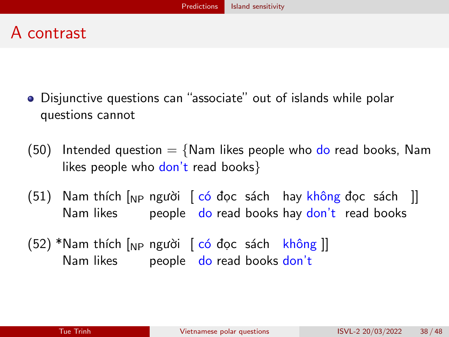# A contrast

- Disjunctive questions can "associate" out of islands while polar questions cannot
- (50) Intended question  $=$  {Nam likes people who do read books, Nam likes people who don't read books}
- (51) Nam thích [<sub>NP</sub> người [ có đọc sách hay <mark>không</mark> đọc sách ]] Nam likes people do read books hay don't read books
- (52) \*Nam thích [<sub>NP</sub> người [ có đọc sách không ]] Nam likes beople do read books don't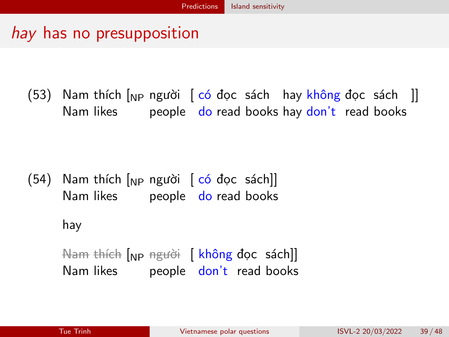# hay has no presupposition

(53) Nam thích [<sub>NP</sub> người [ có đọc sách hay <mark>không</mark> đọc sách ]] Nam likes people do read books hay <u>don't</u> read books

(54) Nam thích [<sub>NP</sub> người [ <mark>có đ</mark>ọc sách]] Nam likes people <mark>do</mark> read books

hay

Nam thích [<sub>NP</sub> người [ <mark>không đọc sách</mark>]] Nam likes people <mark>don't</mark> read books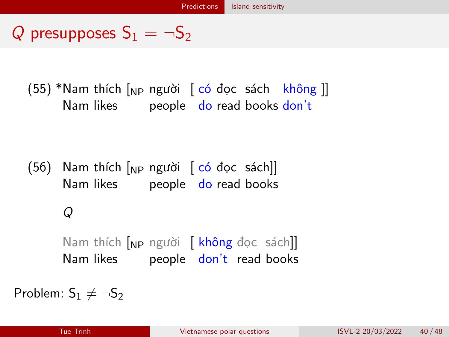# Q presupposes  $S_1 = \neg S_2$

(55) \*Nam thích [<sub>NP</sub> người [ có đọc sách không ]] Nam likes people do read books don't

(56) Nam thích [<sub>NP</sub> người [ <mark>có đ</mark>ọc sách]] Nam likes beople do read books

### Q

Nam thích [<sub>NP</sub> người [ <mark>không</mark> đọc sách]] Nam likes people <mark>don't</mark> read books

Problem:  $S_1 \neq \neg S_2$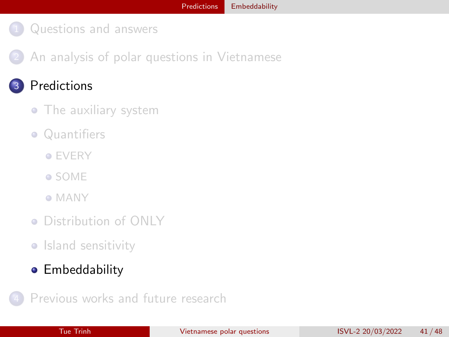<span id="page-41-0"></span>2 [An analysis of polar questions in Vietnamese](#page-7-0)

### **[Predictions](#page-13-0)**

- [The auxiliary system](#page-14-0)
- [Quantifiers](#page-22-0)
	- **[EVERY](#page-23-0)**
	- [SOME](#page-27-0)
	- [MANY](#page-30-0)
- [Distribution of ONLY](#page-33-0)
- [Island sensitivity](#page-37-0)
- **•** [Embeddability](#page-41-0)

[Previous works and future research](#page-46-0)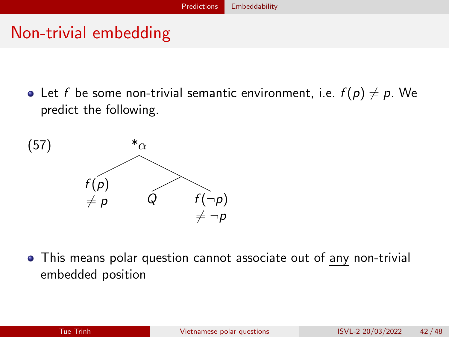# Non-trivial embedding

• Let f be some non-trivial semantic environment, i.e.  $f(p) \neq p$ . We predict the following.



This means polar question cannot associate out of any non-trivial embedded position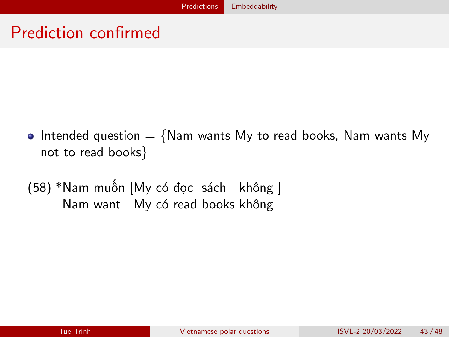# Prediction confirmed

- Intended question  $=$  {Nam wants My to read books, Nam wants My not to read books}
- (58) \*Nam muốn [My có đọc sách không ] Nam want My có read books không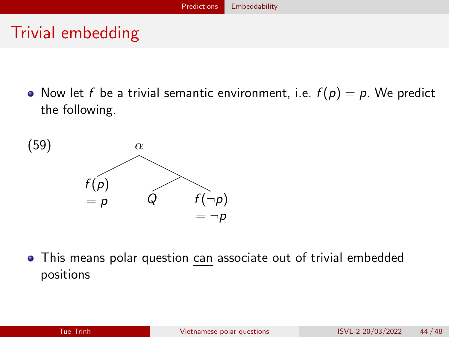# Trivial embedding

• Now let f be a trivial semantic environment, i.e.  $f(p) = p$ . We predict the following.



This means polar question can associate out of trivial embedded positions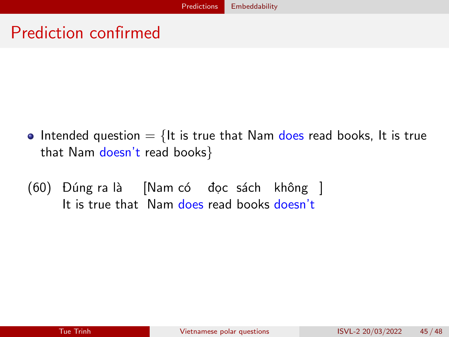# Prediction confirmed

- Intended question  $=$  {It is true that Nam does read books, It is true that Nam doesn't read books}
- (60) Đúng ra là [Nam có đọc sách không ] It is true that Nam <mark>does</mark> read books <mark>doesn't</mark>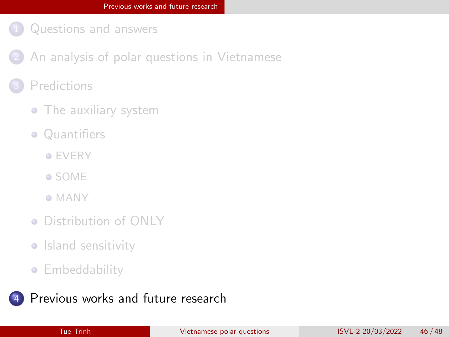- <span id="page-46-0"></span>[An analysis of polar questions in Vietnamese](#page-7-0)
- **[Predictions](#page-13-0)** 
	- [The auxiliary system](#page-14-0)
	- [Quantifiers](#page-22-0)
		- **[EVERY](#page-23-0)**
		- [SOME](#page-27-0)
		- [MANY](#page-30-0)
	- [Distribution of ONLY](#page-33-0)
	- **·** [Island sensitivity](#page-37-0)
	- **[Embeddability](#page-41-0)**

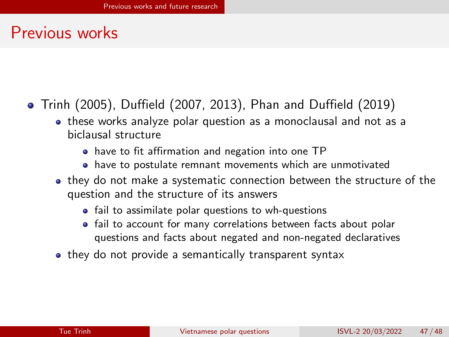### Previous works

- [Trinh \(2005\)](#page-52-7), [Duffield \(2007,](#page-49-1) [2013\)](#page-49-2), [Phan and Duffield \(2019\)](#page-51-5)
	- these works analyze polar question as a monoclausal and not as a biclausal structure
		- have to fit affirmation and negation into one TP
		- have to postulate remnant movements which are unmotivated
	- they do not make a systematic connection between the structure of the question and the structure of its answers
		- fail to assimilate polar questions to wh-questions
		- fail to account for many correlations between facts about polar questions and facts about negated and non-negated declaratives
	- they do not provide a semantically transparent syntax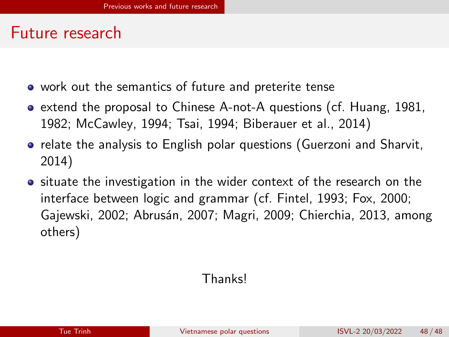### Future research

- work out the semantics of future and preterite tense
- extend the proposal to Chinese A-not-A questions (cf. [Huang, 1981,](#page-50-4) [1982;](#page-50-5) [McCawley, 1994;](#page-51-6) [Tsai, 1994;](#page-53-1) [Biberauer et al., 2014\)](#page-49-3)
- relate the analysis to English polar questions [\(Guerzoni and Sharvit,](#page-50-6) [2014\)](#page-50-6)
- **o** situate the investigation in the wider context of the research on the interface between logic and grammar (cf. [Fintel, 1993;](#page-49-4) [Fox, 2000;](#page-49-5) [Gajewski, 2002;](#page-50-7) [Abrusán, 2007;](#page-49-6) [Magri, 2009;](#page-51-7) [Chierchia, 2013,](#page-49-7) among others)

### Thanks!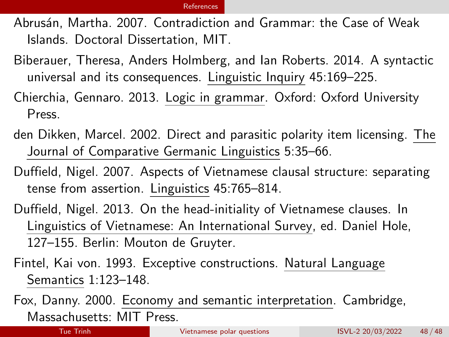<span id="page-49-8"></span><span id="page-49-6"></span>Abrusán, Martha. 2007. Contradiction and Grammar: the Case of Weak Islands. Doctoral Dissertation, MIT.

- <span id="page-49-3"></span>Biberauer, Theresa, Anders Holmberg, and Ian Roberts. 2014. A syntactic universal and its consequences. Linguistic Inquiry 45:169–225.
- <span id="page-49-7"></span>Chierchia, Gennaro. 2013. Logic in grammar. Oxford: Oxford University Press.
- <span id="page-49-0"></span>den Dikken, Marcel. 2002. Direct and parasitic polarity item licensing. The Journal of Comparative Germanic Linguistics 5:35–66.
- <span id="page-49-1"></span>Duffield, Nigel. 2007. Aspects of Vietnamese clausal structure: separating tense from assertion. Linguistics 45:765–814.
- <span id="page-49-2"></span>Duffield, Nigel. 2013. On the head-initiality of Vietnamese clauses. In Linguistics of Vietnamese: An International Survey, ed. Daniel Hole, 127–155. Berlin: Mouton de Gruyter.
- <span id="page-49-4"></span>Fintel, Kai von. 1993. Exceptive constructions. Natural Language Semantics 1:123–148.

<span id="page-49-5"></span>Fox, Danny. 2000. Economy and semantic interpretation. Cambridge, Massachusetts: MIT Press.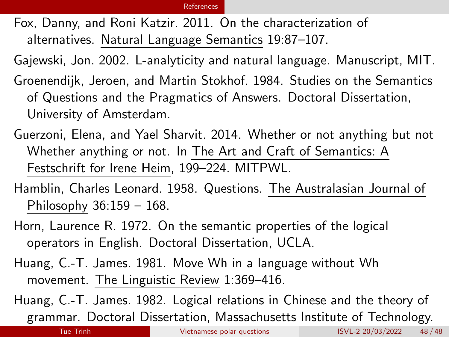<span id="page-50-2"></span>Fox, Danny, and Roni Katzir. 2011. On the characterization of alternatives. Natural Language Semantics 19:87–107.

<span id="page-50-7"></span>Gajewski, Jon. 2002. L-analyticity and natural language. Manuscript, MIT.

- <span id="page-50-1"></span>Groenendijk, Jeroen, and Martin Stokhof. 1984. Studies on the Semantics of Questions and the Pragmatics of Answers. Doctoral Dissertation, University of Amsterdam.
- <span id="page-50-6"></span>Guerzoni, Elena, and Yael Sharvit. 2014. Whether or not anything but not Whether anything or not. In The Art and Craft of Semantics: A Festschrift for Irene Heim, 199–224. MITPWL.
- <span id="page-50-0"></span>Hamblin, Charles Leonard. 1958. Questions. The Australasian Journal of Philosophy 36:159 – 168.
- <span id="page-50-3"></span>Horn, Laurence R. 1972. On the semantic properties of the logical operators in English. Doctoral Dissertation, UCLA.
- <span id="page-50-4"></span>Huang, C.-T. James. 1981. Move Wh in a language without Wh movement. The Linguistic Review 1:369–416.

<span id="page-50-5"></span>Huang, C.-T. James. 1982. Logical relations in Chinese and the theory of grammar. Doctoral Dissertation, Massachusetts Institute of Technology.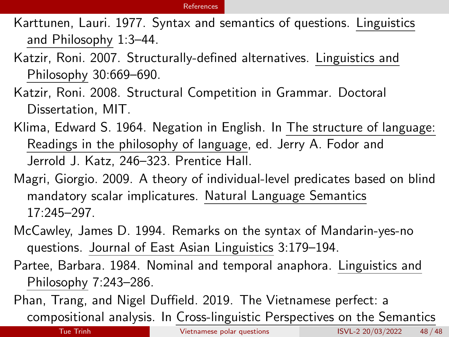#### [References](#page-49-8)

<span id="page-51-0"></span>Karttunen, Lauri. 1977. Syntax and semantics of questions. Linguistics and Philosophy 1:3–44.

- <span id="page-51-1"></span>Katzir, Roni. 2007. Structurally-defined alternatives. Linguistics and Philosophy 30:669–690.
- <span id="page-51-2"></span>Katzir, Roni. 2008. Structural Competition in Grammar. Doctoral Dissertation, MIT.
- <span id="page-51-3"></span>Klima, Edward S. 1964. Negation in English. In The structure of language: Readings in the philosophy of language, ed. Jerry A. Fodor and Jerrold J. Katz, 246–323. Prentice Hall.
- <span id="page-51-7"></span>Magri, Giorgio. 2009. A theory of individual-level predicates based on blind mandatory scalar implicatures. Natural Language Semantics 17:245–297.
- <span id="page-51-6"></span>McCawley, James D. 1994. Remarks on the syntax of Mandarin-yes-no questions. Journal of East Asian Linguistics 3:179–194.
- <span id="page-51-4"></span>Partee, Barbara. 1984. Nominal and temporal anaphora. Linguistics and Philosophy 7:243–286.
- <span id="page-51-5"></span>Phan, Trang, and Nigel Duffield. 2019. The Vietnamese perfect: a compositional analysis. In Cross-linguistic Perspectives on the Semantics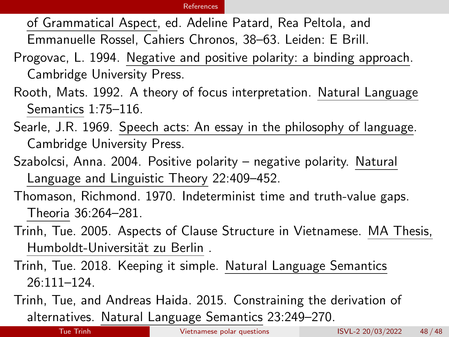of Grammatical Aspect, ed. Adeline Patard, Rea Peltola, and

Emmanuelle Rossel, Cahiers Chronos, 38–63. Leiden: E Brill.

- <span id="page-52-4"></span>Progovac, L. 1994. Negative and positive polarity: a binding approach. Cambridge University Press.
- <span id="page-52-1"></span>Rooth, Mats. 1992. A theory of focus interpretation. Natural Language Semantics 1:75–116.
- <span id="page-52-0"></span>Searle, J.R. 1969. Speech acts: An essay in the philosophy of language. Cambridge University Press.
- <span id="page-52-5"></span>Szabolcsi, Anna. 2004. Positive polarity – negative polarity. Natural Language and Linguistic Theory 22:409–452.
- <span id="page-52-6"></span>Thomason, Richmond. 1970. Indeterminist time and truth-value gaps. Theoria 36:264–281.
- <span id="page-52-7"></span>Trinh, Tue. 2005. Aspects of Clause Structure in Vietnamese. MA Thesis, Humboldt-Universität zu Berlin.
- <span id="page-52-3"></span>Trinh, Tue. 2018. Keeping it simple. Natural Language Semantics 26:111–124.
- <span id="page-52-2"></span>Trinh, Tue, and Andreas Haida. 2015. Constraining the derivation of alternatives. Natural Language Semantics 23:249–270.